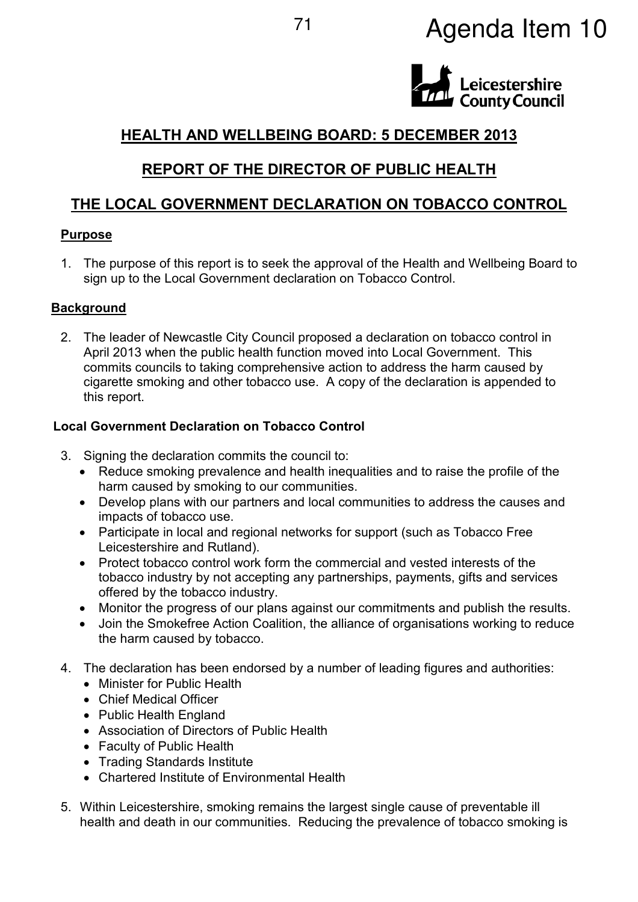# <sup>71</sup> Agenda Item 10



# **HEALTH AND WELLBEING BOARD: 5 DECEMBER 2013**

## **REPORT OF THE DIRECTOR OF PUBLIC HEALTH**

# **THE LOCAL GOVERNMENT DECLARATION ON TOBACCO CONTROL**

## **Purpose**

1. The purpose of this report is to seek the approval of the Health and Wellbeing Board to sign up to the Local Government declaration on Tobacco Control.

## **Background**

2. The leader of Newcastle City Council proposed a declaration on tobacco control in April 2013 when the public health function moved into Local Government. This commits councils to taking comprehensive action to address the harm caused by cigarette smoking and other tobacco use. A copy of the declaration is appended to this report.

## **Local Government Declaration on Tobacco Control**

- 3. Signing the declaration commits the council to:
	- Reduce smoking prevalence and health inequalities and to raise the profile of the harm caused by smoking to our communities.
	- Develop plans with our partners and local communities to address the causes and impacts of tobacco use.
	- Participate in local and regional networks for support (such as Tobacco Free Leicestershire and Rutland).
	- Protect tobacco control work form the commercial and vested interests of the tobacco industry by not accepting any partnerships, payments, gifts and services offered by the tobacco industry.
	- Monitor the progress of our plans against our commitments and publish the results.
	- Join the Smokefree Action Coalition, the alliance of organisations working to reduce the harm caused by tobacco.
- 4. The declaration has been endorsed by a number of leading figures and authorities:
	- Minister for Public Health
	- Chief Medical Officer
	- Public Health England
	- Association of Directors of Public Health
	- Faculty of Public Health
	- Trading Standards Institute
	- Chartered Institute of Environmental Health
- 5. Within Leicestershire, smoking remains the largest single cause of preventable ill health and death in our communities. Reducing the prevalence of tobacco smoking is